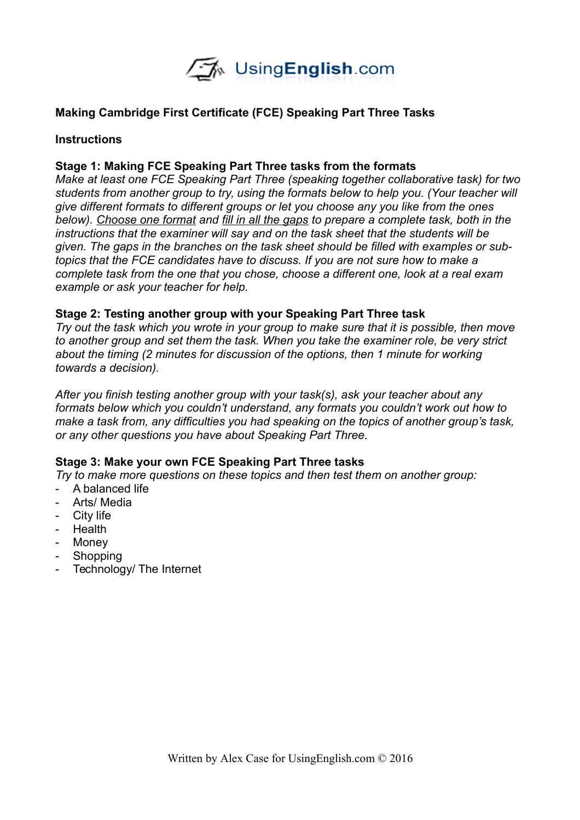

## **Making Cambridge First Certificate (FCE) Speaking Part Three Tasks**

### **Instructions**

### **Stage 1: Making FCE Speaking Part Three tasks from the formats**

*Make at least one FCE Speaking Part Three (speaking together collaborative task) for two students from another group to try, using the formats below to help you. (Your teacher will give different formats to different groups or let you choose any you like from the ones below). Choose one format and fill in all the gaps to prepare a complete task, both in the instructions that the examiner will say and on the task sheet that the students will be given. The gaps in the branches on the task sheet should be filled with examples or subtopics that the FCE candidates have to discuss. If you are not sure how to make a complete task from the one that you chose, choose a different one, look at a real exam example or ask your teacher for help.* 

#### **Stage 2: Testing another group with your Speaking Part Three task**

*Try out the task which you wrote in your group to make sure that it is possible, then move to another group and set them the task. When you take the examiner role, be very strict about the timing (2 minutes for discussion of the options, then 1 minute for working towards a decision).* 

*After you finish testing another group with your task(s), ask your teacher about any formats below which you couldn't understand, any formats you couldn't work out how to make a task from, any difficulties you had speaking on the topics of another group's task, or any other questions you have about Speaking Part Three.* 

#### **Stage 3: Make your own FCE Speaking Part Three tasks**

*Try to make more questions on these topics and then test them on another group:*

- A balanced life
- Arts/ Media
- City life
- Health
- Money
- Shopping
- Technology/ The Internet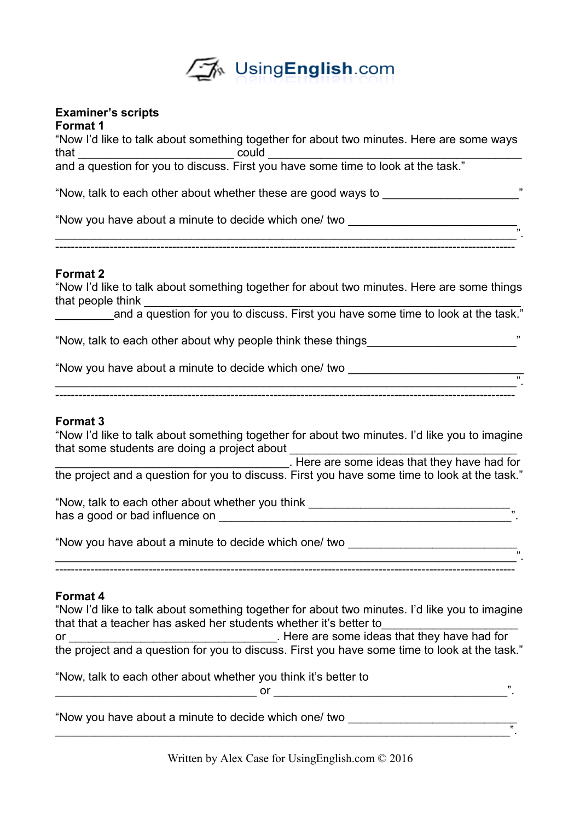

# **Examiner's scripts**

**Format 1** "Now I'd like to talk about something together for about two minutes. Here are some ways that \_\_\_\_\_\_\_\_\_\_\_\_\_\_\_\_\_\_\_\_\_\_\_\_ could \_\_\_\_\_\_\_\_\_\_\_\_\_\_\_\_\_\_\_\_\_\_\_\_\_\_\_\_\_\_\_\_\_\_\_\_\_\_\_ and a question for you to discuss. First you have some time to look at the task."

"Now, talk to each other about whether these are good ways to \_\_\_\_\_\_\_\_\_\_\_\_\_\_\_\_\_\_\_\_\_"

"Now you have about a minute to decide which one/ two

#### **Format 2**

"Now I'd like to talk about something together for about two minutes. Here are some things that people think

\_\_\_\_\_\_\_\_\_\_\_\_\_\_\_\_\_\_\_\_\_\_\_\_\_\_\_\_\_\_\_\_\_\_\_\_\_\_\_\_\_\_\_\_\_\_\_\_\_\_\_\_\_\_\_\_\_\_\_\_\_\_\_\_\_\_\_\_\_\_\_".

----------------------------------------------------------------------------------------------------------------------

and a question for you to discuss. First you have some time to look at the task."

"Now, talk to each other about why people think these things\_\_\_\_\_\_\_\_\_\_\_\_\_\_\_\_\_\_\_\_\_\_\_"

\_\_\_\_\_\_\_\_\_\_\_\_\_\_\_\_\_\_\_\_\_\_\_\_\_\_\_\_\_\_\_\_\_\_\_\_\_\_\_\_\_\_\_\_\_\_\_\_\_\_\_\_\_\_\_\_\_\_\_\_\_\_\_\_\_\_\_\_\_\_\_".

"Now you have about a minute to decide which one/ two

#### ----------------------------------------------------------------------------------------------------------------------

#### **Format 3**

"Now I'd like to talk about something together for about two minutes. I'd like you to imagine that some students are doing a project about

\_\_\_\_\_\_\_\_\_\_\_\_\_\_\_\_\_\_\_\_\_\_\_\_\_\_\_\_\_\_\_\_\_\_\_\_. Here are some ideas that they have had for the project and a question for you to discuss. First you have some time to look at the task."

"Now, talk to each other about whether you think has a good or bad influence on  $\Box$ 

 $\frac{m}{2}$ ----------------------------------------------------------------------------------------------------------------------

"Now you have about a minute to decide which one/ two

#### **Format 4**

"Now I'd like to talk about something together for about two minutes. I'd like you to imagine that that a teacher has asked her students whether it's better to or \_\_\_\_\_\_\_\_\_\_\_\_\_\_\_\_\_\_\_\_\_\_\_\_\_\_\_\_\_\_\_\_. Here are some ideas that they have had for the project and a question for you to discuss. First you have some time to look at the task."

"Now, talk to each other about whether you think it's better to \_\_\_\_\_\_\_\_\_\_\_\_\_\_\_\_\_\_\_\_\_\_\_\_\_\_\_\_\_\_\_ or \_\_\_\_\_\_\_\_\_\_\_\_\_\_\_\_\_\_\_\_\_\_\_\_\_\_\_\_\_\_\_\_\_\_\_\_".

"Now you have about a minute to decide which one/ two

 $\overline{\phantom{a}}$  , and the contract of the contract of the contract of the contract of the contract of the contract of the contract of the contract of the contract of the contract of the contract of the contract of the contrac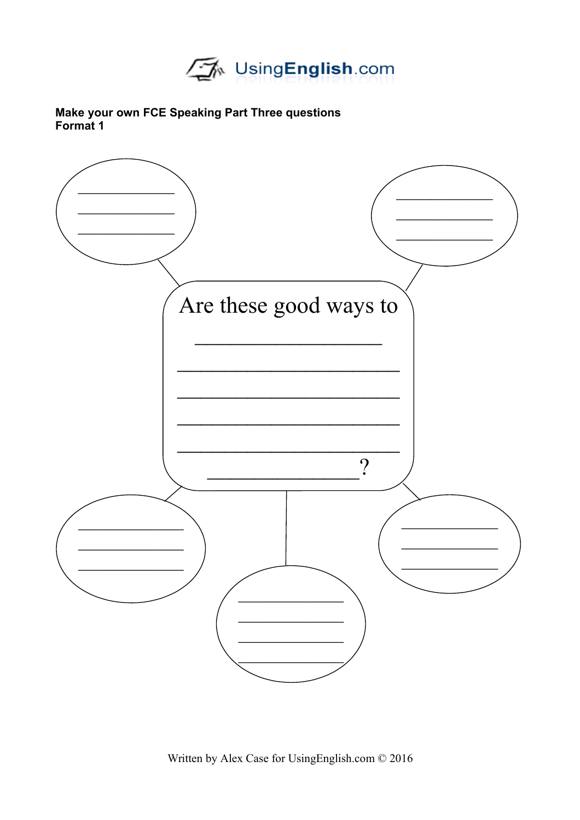

### Make your own FCE Speaking Part Three questions Format 1

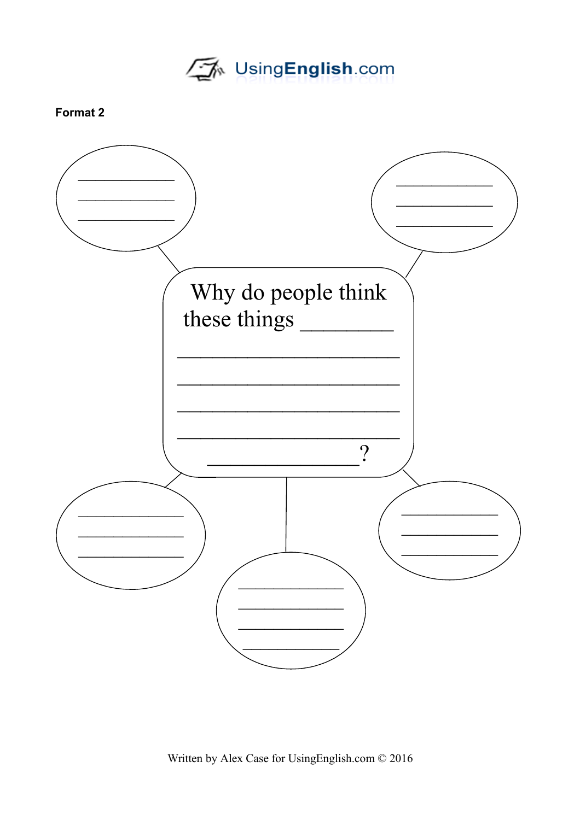UsingEnglish.com

## Format 2

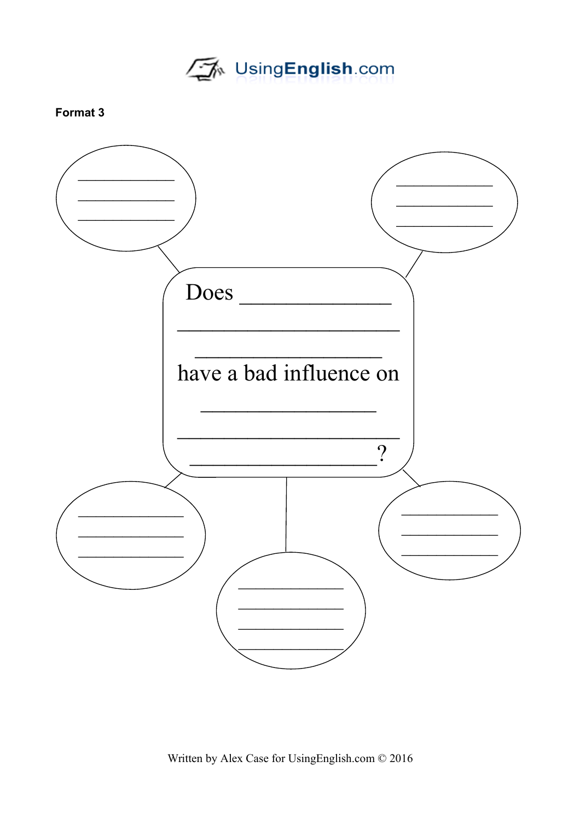UsingEnglish.com

## Format 3